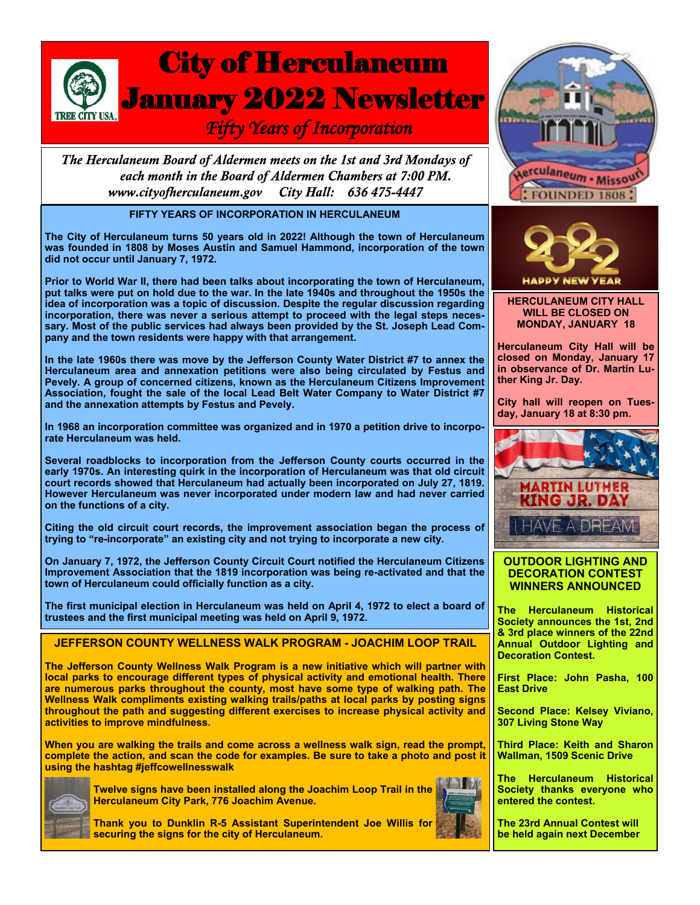# City of Herculaneum January 2022 Newsletter  *Fifty Years of Incorporation*

The Herculaneum Board of Aldermen meets on the 1st and 3rd Mondays of each month in the Board of Aldermen Chambers at 7:00 PM. City Hall: 636 475-4447 www.cityofherculaneum.gov

## **FIFTY YEARS OF INCORPORATION IN HERCULANEUM**

**The City of Herculaneum turns 50 years old in 2022! Although the town of Herculaneum was founded in 1808 by Moses Austin and Samuel Hammond, incorporation of the town did not occur until January 7, 1972.**

**Prior to World War II, there had been talks about incorporating the town of Herculaneum, put talks were put on hold due to the war. In the late 1940s and throughout the 1950s the idea of incorporation was a topic of discussion. Despite the regular discussion regarding incorporation, there was never a serious attempt to proceed with the legal steps necessary. Most of the public services had always been provided by the St. Joseph Lead Company and the town residents were happy with that arrangement.**

**In the late 1960s there was move by the Jefferson County Water District #7 to annex the Herculaneum area and annexation petitions were also being circulated by Festus and Pevely. A group of concerned citizens, known as the Herculaneum Citizens Improvement Association, fought the sale of the local Lead Belt Water Company to Water District #7 and the annexation attempts by Festus and Pevely.**

**In 1968 an incorporation committee was organized and in 1970 a petition drive to incorporate Herculaneum was held.**

**Several roadblocks to incorporation from the Jefferson County courts occurred in the early 1970s. An interesting quirk in the incorporation of Herculaneum was that old circuit court records showed that Herculaneum had actually been incorporated on July 27, 1819. However Herculaneum was never incorporated under modern law and had never carried on the functions of a city.**

**Citing the old circuit court records, the improvement association began the process of trying to "re-incorporate" an existing city and not trying to incorporate a new city.**

**On January 7, 1972, the Jefferson County Circuit Court notified the Herculaneum Citizens Improvement Association that the 1819 incorporation was being re-activated and that the town of Herculaneum could officially function as a city.**

**The first municipal election in Herculaneum was held on April 4, 1972 to elect a board of trustees and the first municipal meeting was held on April 9, 1972.**

### **JEFFERSON COUNTY WELLNESS WALK PROGRAM - JOACHIM LOOP TRAIL**

**The Jefferson County Wellness Walk Program is a new initiative which will partner with local parks to encourage different types of physical activity and emotional health. There are numerous parks throughout the county, most have some type of walking path. The Wellness Walk compliments existing walking trails/paths at local parks by posting signs throughout the path and suggesting different exercises to increase physical activity and activities to improve mindfulness.** 

**When you are walking the trails and come across a wellness walk sign, read the prompt, complete the action, and scan the code for examples. Be sure to take a photo and post it using the hashtag #jeffcowellnesswalk**



**Twelve signs have been installed along the Joachim Loop Trail in the Herculaneum City Park, 776 Joachim Avenue.**





**HERCULANEUM CITY HALL WILL BE CLOSED ON MONDAY, JANUARY 18**

**Herculaneum City Hall will be closed on Monday, January 17 in observance of Dr. Martin Luther King Jr. Day.**

**City hall will reopen on Tuesday, January 18 at 8:30 pm.**



#### **OUTDOOR LIGHTING AND DECORATION CONTEST WINNERS ANNOUNCED**

**The Herculaneum Historical Society announces the 1st, 2nd & 3rd place winners of the 22nd Annual Outdoor Lighting and Decoration Contest.**

**First Place: John Pasha, 100 East Drive**

**Second Place: Kelsey Viviano, 307 Living Stone Way** 

**Third Place: Keith and Sharon Wallman, 1509 Scenic Drive**

**The Herculaneum Historical Society thanks everyone who entered the contest.**

**The 23rd Annual Contest will be held again next December**

**Thank you to Dunklin R-5 Assistant Superintendent Joe Willis for securing the signs for the city of Herculaneum.**